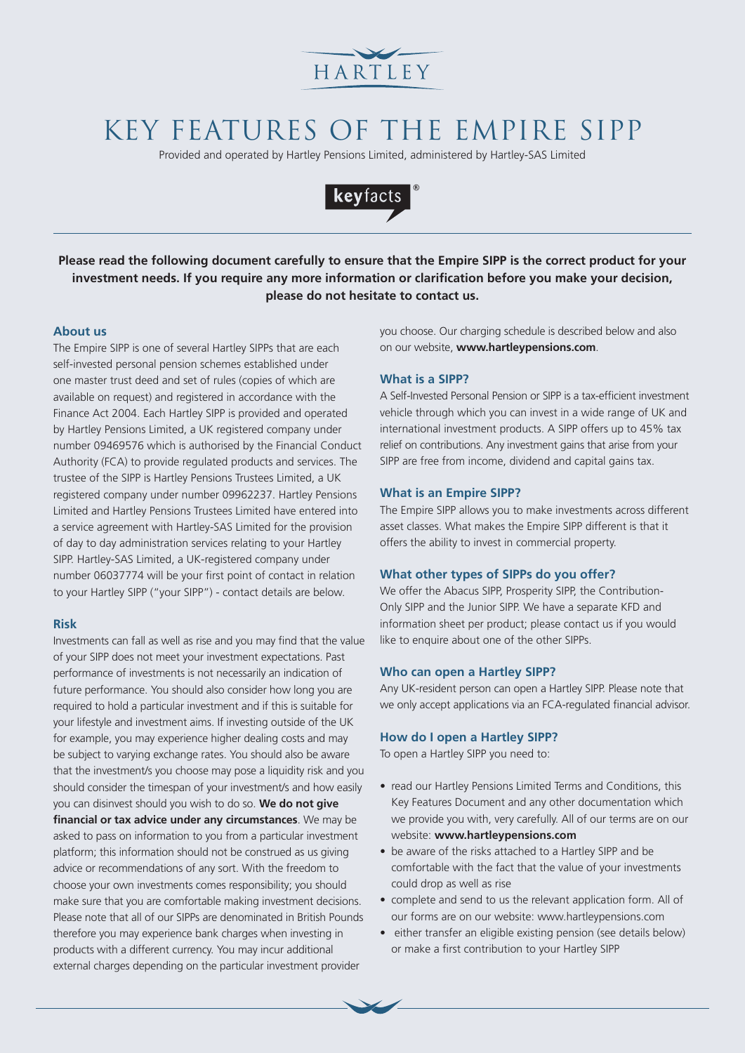

# KEY FEATURES OF THE EMPIRE SIPP

Provided and operated by Hartley Pensions Limited, administered by Hartley-SAS Limited



**Please read the following document carefully to ensure that the Empire SIPP is the correct product for your investment needs. If you require any more information or clarification before you make your decision, please do not hesitate to contact us.**

#### **About us**

The Empire SIPP is one of several Hartley SIPPs that are each self-invested personal pension schemes established under one master trust deed and set of rules (copies of which are available on request) and registered in accordance with the Finance Act 2004. Each Hartley SIPP is provided and operated by Hartley Pensions Limited, a UK registered company under number 09469576 which is authorised by the Financial Conduct Authority (FCA) to provide regulated products and services. The trustee of the SIPP is Hartley Pensions Trustees Limited, a UK registered company under number 09962237. Hartley Pensions Limited and Hartley Pensions Trustees Limited have entered into a service agreement with Hartley-SAS Limited for the provision of day to day administration services relating to your Hartley SIPP. Hartley-SAS Limited, a UK-registered company under number 06037774 will be your first point of contact in relation to your Hartley SIPP ("your SIPP") - contact details are below.

#### **Risk**

Investments can fall as well as rise and you may find that the value of your SIPP does not meet your investment expectations. Past performance of investments is not necessarily an indication of future performance. You should also consider how long you are required to hold a particular investment and if this is suitable for your lifestyle and investment aims. If investing outside of the UK for example, you may experience higher dealing costs and may be subject to varying exchange rates. You should also be aware that the investment/s you choose may pose a liquidity risk and you should consider the timespan of your investment/s and how easily you can disinvest should you wish to do so. **We do not give financial or tax advice under any circumstances**. We may be asked to pass on information to you from a particular investment platform; this information should not be construed as us giving advice or recommendations of any sort. With the freedom to choose your own investments comes responsibility; you should make sure that you are comfortable making investment decisions. Please note that all of our SIPPs are denominated in British Pounds therefore you may experience bank charges when investing in products with a different currency. You may incur additional external charges depending on the particular investment provider

you choose. Our charging schedule is described below and also on our website, **www.hartleypensions.com**.

## **What is a SIPP?**

A Self-Invested Personal Pension or SIPP is a tax-efficient investment vehicle through which you can invest in a wide range of UK and international investment products. A SIPP offers up to 45% tax relief on contributions. Any investment gains that arise from your SIPP are free from income, dividend and capital gains tax.

#### **What is an Empire SIPP?**

The Empire SIPP allows you to make investments across different asset classes. What makes the Empire SIPP different is that it offers the ability to invest in commercial property.

## **What other types of SIPPs do you offer?**

We offer the Abacus SIPP, Prosperity SIPP, the Contribution-Only SIPP and the Junior SIPP. We have a separate KFD and information sheet per product; please contact us if you would like to enquire about one of the other SIPPs.

#### **Who can open a Hartley SIPP?**

Any UK-resident person can open a Hartley SIPP. Please note that we only accept applications via an FCA-regulated financial advisor.

#### **How do I open a Hartley SIPP?**

To open a Hartley SIPP you need to:

- read our Hartley Pensions Limited Terms and Conditions, this Key Features Document and any other documentation which we provide you with, very carefully. All of our terms are on our website: **www.hartleypensions.com**
- be aware of the risks attached to a Hartley SIPP and be comfortable with the fact that the value of your investments could drop as well as rise
- complete and send to us the relevant application form. All of our forms are on our website: www.hartleypensions.com
- either transfer an eligible existing pension (see details below) or make a first contribution to your Hartley SIPP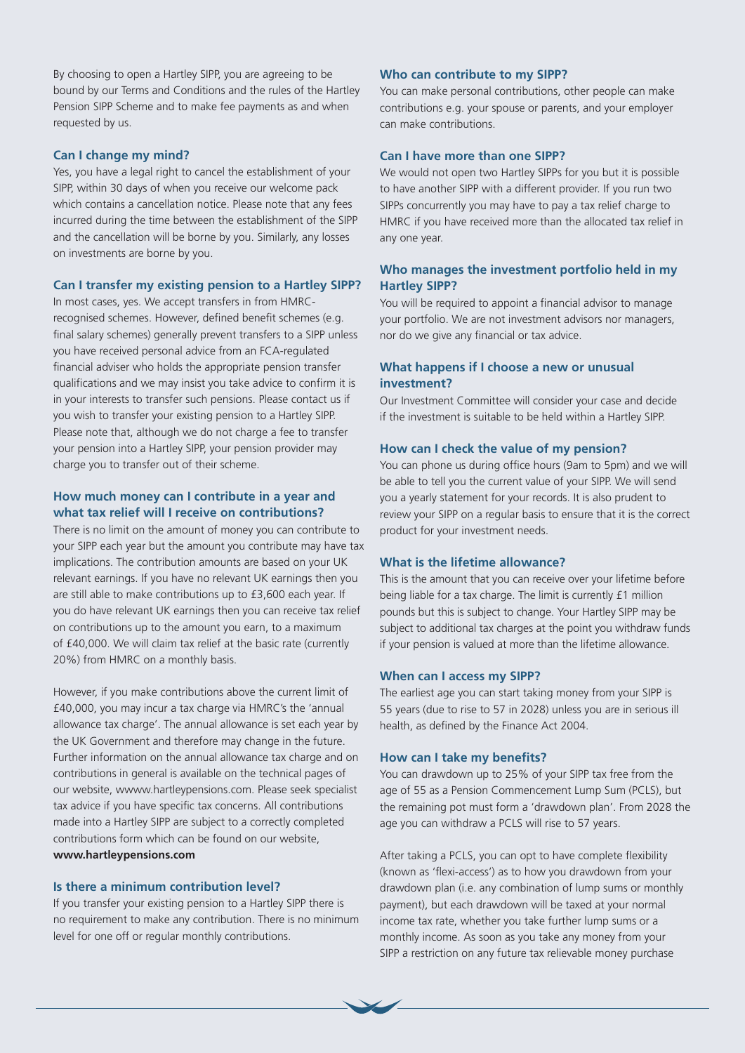By choosing to open a Hartley SIPP, you are agreeing to be bound by our Terms and Conditions and the rules of the Hartley Pension SIPP Scheme and to make fee payments as and when requested by us.

### **Can I change my mind?**

Yes, you have a legal right to cancel the establishment of your SIPP, within 30 days of when you receive our welcome pack which contains a cancellation notice. Please note that any fees incurred during the time between the establishment of the SIPP and the cancellation will be borne by you. Similarly, any losses on investments are borne by you.

#### **Can I transfer my existing pension to a Hartley SIPP?**

In most cases, yes. We accept transfers in from HMRCrecognised schemes. However, defined benefit schemes (e.g. final salary schemes) generally prevent transfers to a SIPP unless you have received personal advice from an FCA-regulated financial adviser who holds the appropriate pension transfer qualifications and we may insist you take advice to confirm it is in your interests to transfer such pensions. Please contact us if you wish to transfer your existing pension to a Hartley SIPP. Please note that, although we do not charge a fee to transfer your pension into a Hartley SIPP, your pension provider may charge you to transfer out of their scheme.

## **How much money can I contribute in a year and what tax relief will I receive on contributions?**

There is no limit on the amount of money you can contribute to your SIPP each year but the amount you contribute may have tax implications. The contribution amounts are based on your UK relevant earnings. If you have no relevant UK earnings then you are still able to make contributions up to £3,600 each year. If you do have relevant UK earnings then you can receive tax relief on contributions up to the amount you earn, to a maximum of £40,000. We will claim tax relief at the basic rate (currently 20%) from HMRC on a monthly basis.

However, if you make contributions above the current limit of £40,000, you may incur a tax charge via HMRC's the 'annual allowance tax charge'. The annual allowance is set each year by the UK Government and therefore may change in the future. Further information on the annual allowance tax charge and on contributions in general is available on the technical pages of our website, wwww.hartleypensions.com. Please seek specialist tax advice if you have specific tax concerns. All contributions made into a Hartley SIPP are subject to a correctly completed contributions form which can be found on our website, **www.hartleypensions.com** 

#### **Is there a minimum contribution level?**

If you transfer your existing pension to a Hartley SIPP there is no requirement to make any contribution. There is no minimum level for one off or regular monthly contributions.

#### **Who can contribute to my SIPP?**

You can make personal contributions, other people can make contributions e.g. your spouse or parents, and your employer can make contributions.

#### **Can I have more than one SIPP?**

We would not open two Hartley SIPPs for you but it is possible to have another SIPP with a different provider. If you run two SIPPs concurrently you may have to pay a tax relief charge to HMRC if you have received more than the allocated tax relief in any one year.

### **Who manages the investment portfolio held in my Hartley SIPP?**

You will be required to appoint a financial advisor to manage your portfolio. We are not investment advisors nor managers, nor do we give any financial or tax advice.

## **What happens if I choose a new or unusual investment?**

Our Investment Committee will consider your case and decide if the investment is suitable to be held within a Hartley SIPP.

#### **How can I check the value of my pension?**

You can phone us during office hours (9am to 5pm) and we will be able to tell you the current value of your SIPP. We will send you a yearly statement for your records. It is also prudent to review your SIPP on a regular basis to ensure that it is the correct product for your investment needs.

#### **What is the lifetime allowance?**

This is the amount that you can receive over your lifetime before being liable for a tax charge. The limit is currently £1 million pounds but this is subject to change. Your Hartley SIPP may be subject to additional tax charges at the point you withdraw funds if your pension is valued at more than the lifetime allowance.

#### **When can I access my SIPP?**

The earliest age you can start taking money from your SIPP is 55 years (due to rise to 57 in 2028) unless you are in serious ill health, as defined by the Finance Act 2004.

#### **How can I take my benefits?**

You can drawdown up to 25% of your SIPP tax free from the age of 55 as a Pension Commencement Lump Sum (PCLS), but the remaining pot must form a 'drawdown plan'. From 2028 the age you can withdraw a PCLS will rise to 57 years.

After taking a PCLS, you can opt to have complete flexibility (known as 'flexi-access') as to how you drawdown from your drawdown plan (i.e. any combination of lump sums or monthly payment), but each drawdown will be taxed at your normal income tax rate, whether you take further lump sums or a monthly income. As soon as you take any money from your SIPP a restriction on any future tax relievable money purchase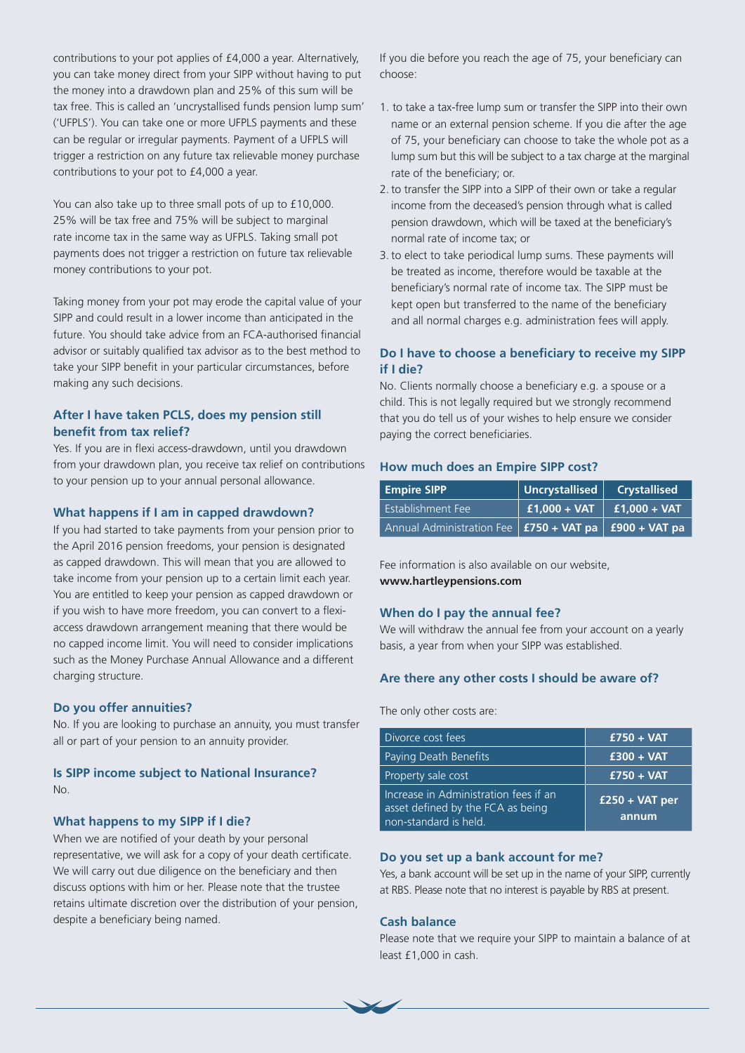contributions to your pot applies of £4,000 a year. Alternatively, you can take money direct from your SIPP without having to put the money into a drawdown plan and 25% of this sum will be tax free. This is called an 'uncrystallised funds pension lump sum' ('UFPLS'). You can take one or more UFPLS payments and these can be regular or irregular payments. Payment of a UFPLS will trigger a restriction on any future tax relievable money purchase contributions to your pot to £4,000 a year.

You can also take up to three small pots of up to £10,000. 25% will be tax free and 75% will be subject to marginal rate income tax in the same way as UFPLS. Taking small pot payments does not trigger a restriction on future tax relievable money contributions to your pot.

Taking money from your pot may erode the capital value of your SIPP and could result in a lower income than anticipated in the future. You should take advice from an FCA-authorised financial advisor or suitably qualified tax advisor as to the best method to take your SIPP benefit in your particular circumstances, before making any such decisions.

## **After I have taken PCLS, does my pension still benefit from tax relief?**

Yes. If you are in flexi access-drawdown, until you drawdown from your drawdown plan, you receive tax relief on contributions to your pension up to your annual personal allowance.

## **What happens if I am in capped drawdown?**

If you had started to take payments from your pension prior to the April 2016 pension freedoms, your pension is designated as capped drawdown. This will mean that you are allowed to take income from your pension up to a certain limit each year. You are entitled to keep your pension as capped drawdown or if you wish to have more freedom, you can convert to a flexiaccess drawdown arrangement meaning that there would be no capped income limit. You will need to consider implications such as the Money Purchase Annual Allowance and a different charging structure.

#### **Do you offer annuities?**

No. If you are looking to purchase an annuity, you must transfer all or part of your pension to an annuity provider.

## **Is SIPP income subject to National Insurance?** No.

### **What happens to my SIPP if I die?**

When we are notified of your death by your personal representative, we will ask for a copy of your death certificate. We will carry out due diligence on the beneficiary and then discuss options with him or her. Please note that the trustee retains ultimate discretion over the distribution of your pension, despite a beneficiary being named.

If you die before you reach the age of 75, your beneficiary can choose:

- 1. to take a tax-free lump sum or transfer the SIPP into their own name or an external pension scheme. If you die after the age of 75, your beneficiary can choose to take the whole pot as a lump sum but this will be subject to a tax charge at the marginal rate of the beneficiary; or.
- 2. to transfer the SIPP into a SIPP of their own or take a regular income from the deceased's pension through what is called pension drawdown, which will be taxed at the beneficiary's normal rate of income tax; or
- 3. to elect to take periodical lump sums. These payments will be treated as income, therefore would be taxable at the beneficiary's normal rate of income tax. The SIPP must be kept open but transferred to the name of the beneficiary and all normal charges e.g. administration fees will apply.

## **Do I have to choose a beneficiary to receive my SIPP if I die?**

No. Clients normally choose a beneficiary e.g. a spouse or a child. This is not legally required but we strongly recommend that you do tell us of your wishes to help ensure we consider paying the correct beneficiaries.

### **How much does an Empire SIPP cost?**

| <b>Empire SIPP</b>                                              | $\sqrt{\frac{1}{2}$ Uncrystallised $\sqrt{\frac{1}{2}}$ Crystallised |  |
|-----------------------------------------------------------------|----------------------------------------------------------------------|--|
| l Establishment Fee <sup>'</sup>                                | $\frac{1}{2}$ £1,000 + VAT $\frac{1}{2}$ £1,000 + VAT                |  |
| Annual Administration Fee   $f$ 750 + VAT pa   $f$ 900 + VAT pa |                                                                      |  |

Fee information is also available on our website, **www.hartleypensions.com** 

### **When do I pay the annual fee?**

We will withdraw the annual fee from your account on a yearly basis, a year from when your SIPP was established.

## **Are there any other costs I should be aware of?**

The only other costs are:

| Divorce cost fees                                                                                   | $£750 + VAT$              |
|-----------------------------------------------------------------------------------------------------|---------------------------|
| Paying Death Benefits                                                                               | $£300 + VAT$              |
| Property sale cost                                                                                  | $£750 + VAT$              |
| Increase in Administration fees if an<br>asset defined by the FCA as being<br>non-standard is held. | $£250 + VAT$ per<br>annum |

#### **Do you set up a bank account for me?**

Yes, a bank account will be set up in the name of your SIPP, currently at RBS. Please note that no interest is payable by RBS at present.

#### **Cash balance**

Please note that we require your SIPP to maintain a balance of at least £1,000 in cash.